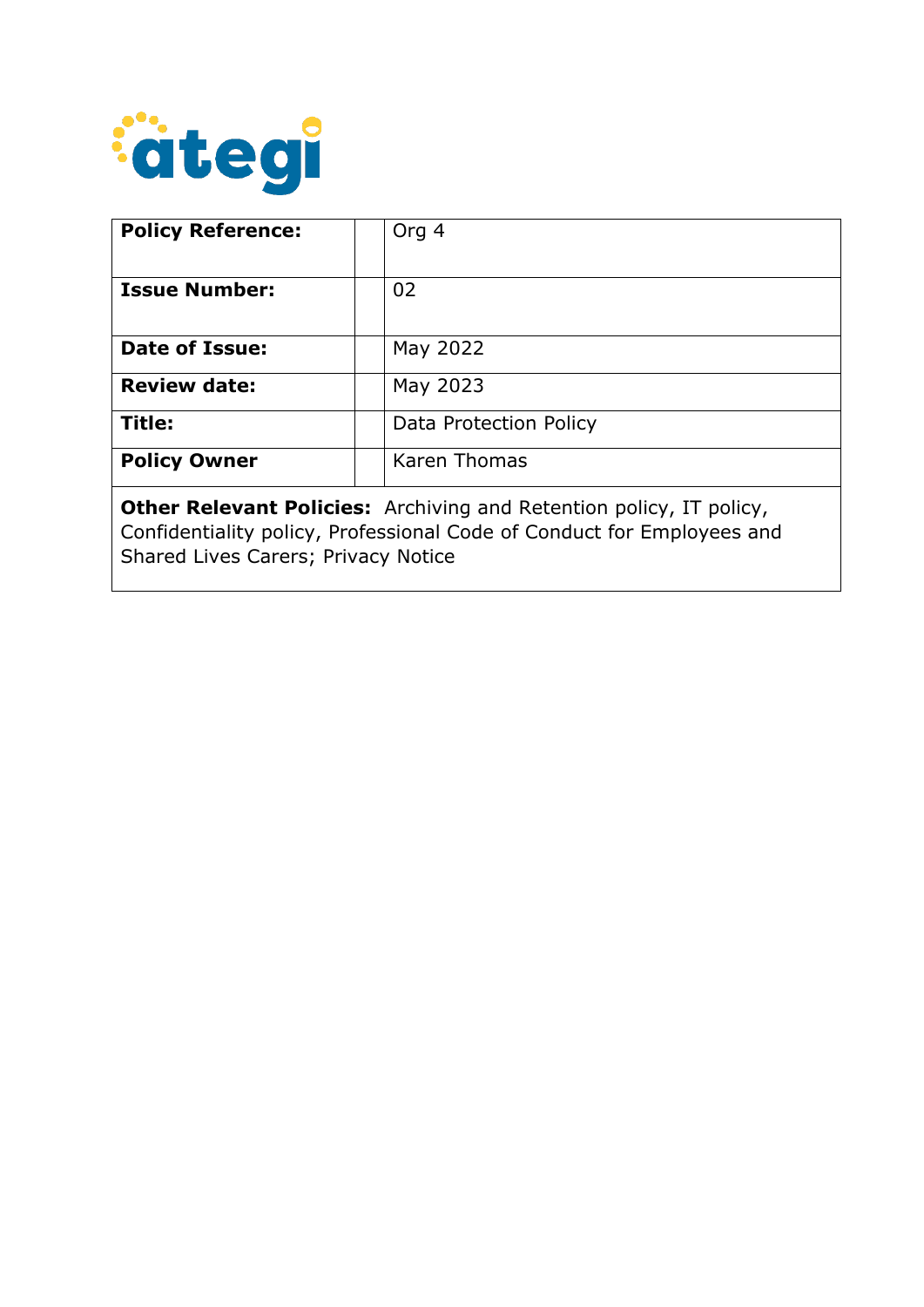

| <b>Policy Reference:</b>                                                                                                                                                                    | Org 4                  |
|---------------------------------------------------------------------------------------------------------------------------------------------------------------------------------------------|------------------------|
| <b>Issue Number:</b>                                                                                                                                                                        | 02                     |
| <b>Date of Issue:</b>                                                                                                                                                                       | May 2022               |
| <b>Review date:</b>                                                                                                                                                                         | May 2023               |
| Title:                                                                                                                                                                                      | Data Protection Policy |
| <b>Policy Owner</b>                                                                                                                                                                         | <b>Karen Thomas</b>    |
| <b>Other Relevant Policies:</b> Archiving and Retention policy, IT policy,<br>Confidentiality policy, Professional Code of Conduct for Employees and<br>Shared Lives Carers; Privacy Notice |                        |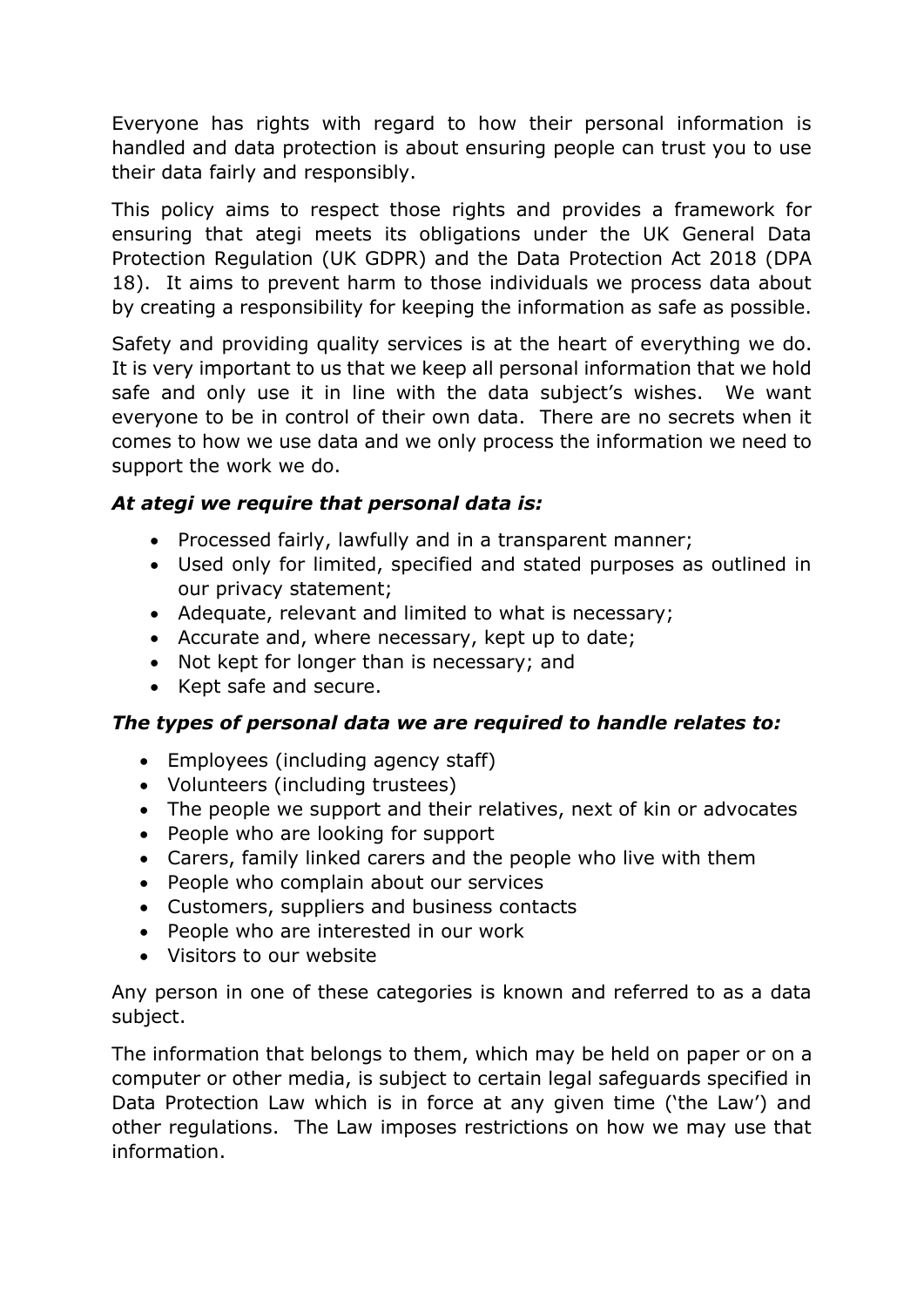Everyone has rights with regard to how their personal information is handled and data protection is about ensuring people can trust you to use their data fairly and responsibly.

This policy aims to respect those rights and provides a framework for ensuring that ategi meets its obligations under the UK General Data Protection Regulation (UK GDPR) and the Data Protection Act 2018 (DPA 18). It aims to prevent harm to those individuals we process data about by creating a responsibility for keeping the information as safe as possible.

Safety and providing quality services is at the heart of everything we do. It is very important to us that we keep all personal information that we hold safe and only use it in line with the data subject's wishes. We want everyone to be in control of their own data. There are no secrets when it comes to how we use data and we only process the information we need to support the work we do.

# *At ategi we require that personal data is:*

- Processed fairly, lawfully and in a transparent manner;
- Used only for limited, specified and stated purposes as outlined in our privacy statement;
- Adequate, relevant and limited to what is necessary;
- Accurate and, where necessary, kept up to date;
- Not kept for longer than is necessary; and
- Kept safe and secure.

# *The types of personal data we are required to handle relates to:*

- Employees (including agency staff)
- Volunteers (including trustees)
- The people we support and their relatives, next of kin or advocates
- People who are looking for support
- Carers, family linked carers and the people who live with them
- People who complain about our services
- Customers, suppliers and business contacts
- People who are interested in our work
- Visitors to our website

Any person in one of these categories is known and referred to as a data subject.

The information that belongs to them, which may be held on paper or on a computer or other media, is subject to certain legal safeguards specified in Data Protection Law which is in force at any given time ('the Law') and other regulations. The Law imposes restrictions on how we may use that information.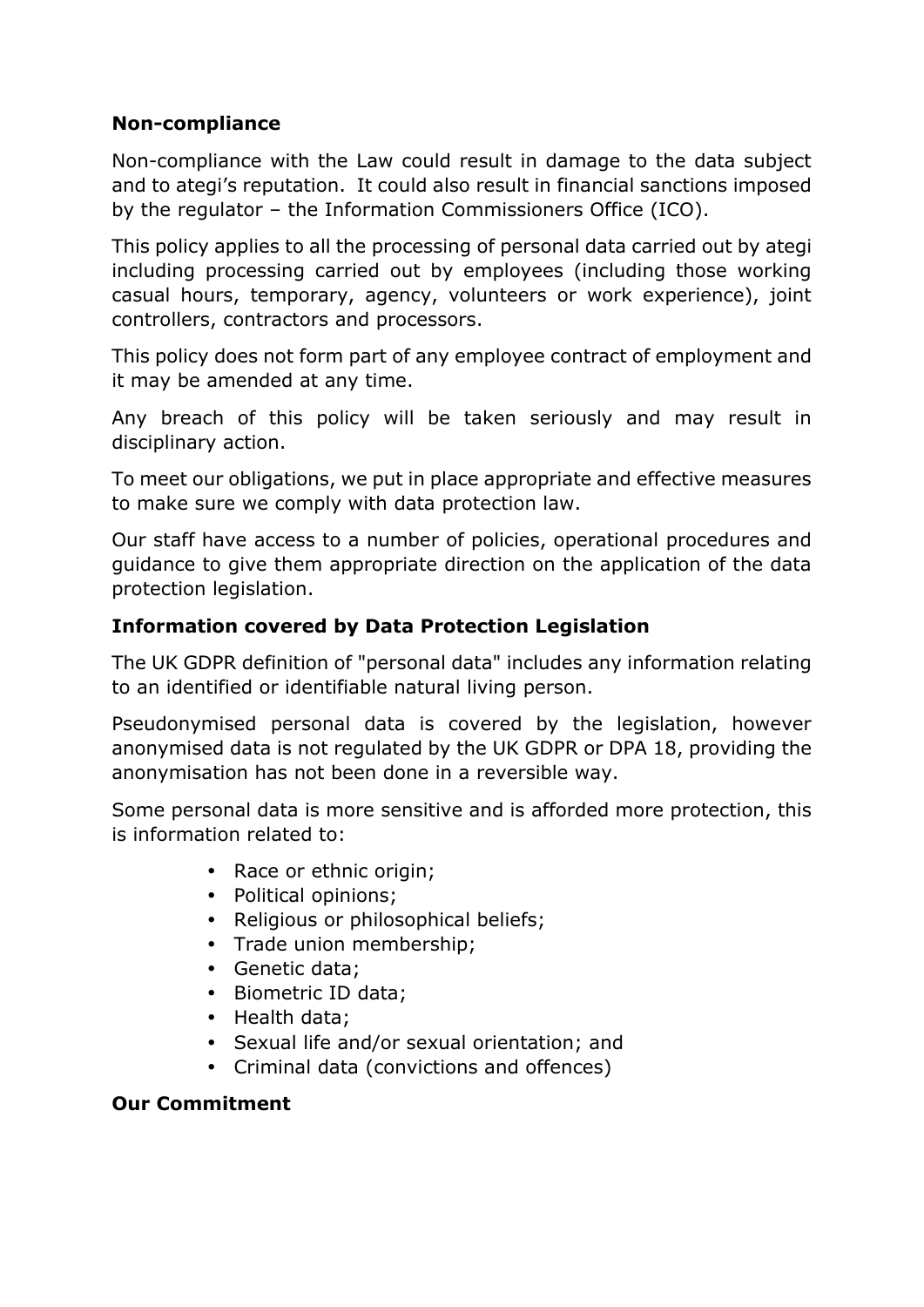# **Non-compliance**

Non-compliance with the Law could result in damage to the data subject and to ategi's reputation. It could also result in financial sanctions imposed by the regulator – the Information Commissioners Office (ICO).

This policy applies to all the processing of personal data carried out by ategi including processing carried out by employees (including those working casual hours, temporary, agency, volunteers or work experience), joint controllers, contractors and processors.

This policy does not form part of any employee contract of employment and it may be amended at any time.

Any breach of this policy will be taken seriously and may result in disciplinary action.

To meet our obligations, we put in place appropriate and effective measures to make sure we comply with data protection law.

Our staff have access to a number of policies, operational procedures and guidance to give them appropriate direction on the application of the data protection legislation.

# **Information covered by Data Protection Legislation**

The UK GDPR definition of "personal data" includes any information relating to an identified or identifiable natural living person.

Pseudonymised personal data is covered by the legislation, however anonymised data is not regulated by the UK GDPR or DPA 18, providing the anonymisation has not been done in a reversible way.

Some personal data is more sensitive and is afforded more protection, this is information related to:

- Race or ethnic origin;
- Political opinions;
- Religious or philosophical beliefs;
- Trade union membership;
- Genetic data;
- Biometric ID data;
- Health data;
- Sexual life and/or sexual orientation; and
- Criminal data (convictions and offences)

### **Our Commitment**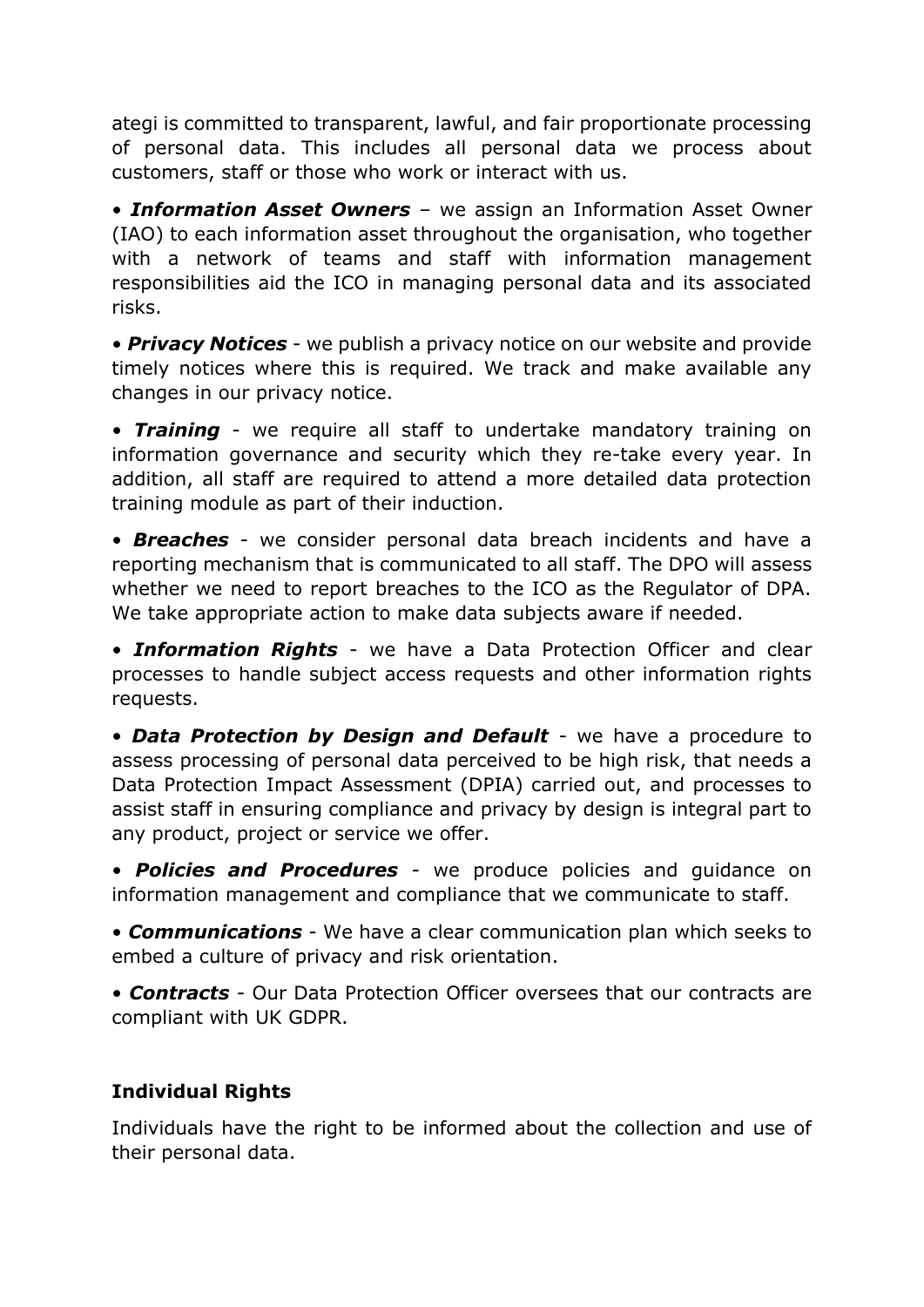ategi is committed to transparent, lawful, and fair proportionate processing of personal data. This includes all personal data we process about customers, staff or those who work or interact with us.

• *Information Asset Owners* – we assign an Information Asset Owner (IAO) to each information asset throughout the organisation, who together with a network of teams and staff with information management responsibilities aid the ICO in managing personal data and its associated risks.

• *Privacy Notices* - we publish a privacy notice on our website and provide timely notices where this is required. We track and make available any changes in our privacy notice.

• *Training* - we require all staff to undertake mandatory training on information governance and security which they re-take every year. In addition, all staff are required to attend a more detailed data protection training module as part of their induction.

• *Breaches* - we consider personal data breach incidents and have a reporting mechanism that is communicated to all staff. The DPO will assess whether we need to report breaches to the ICO as the Regulator of DPA. We take appropriate action to make data subjects aware if needed.

• *Information Rights* - we have a Data Protection Officer and clear processes to handle subject access requests and other information rights requests.

• *Data Protection by Design and Default* - we have a procedure to assess processing of personal data perceived to be high risk, that needs a Data Protection Impact Assessment (DPIA) carried out, and processes to assist staff in ensuring compliance and privacy by design is integral part to any product, project or service we offer.

• *Policies and Procedures* - we produce policies and guidance on information management and compliance that we communicate to staff.

• *Communications* - We have a clear communication plan which seeks to embed a culture of privacy and risk orientation.

• *Contracts* - Our Data Protection Officer oversees that our contracts are compliant with UK GDPR.

# **Individual Rights**

Individuals have the right to be informed about the collection and use of their personal data.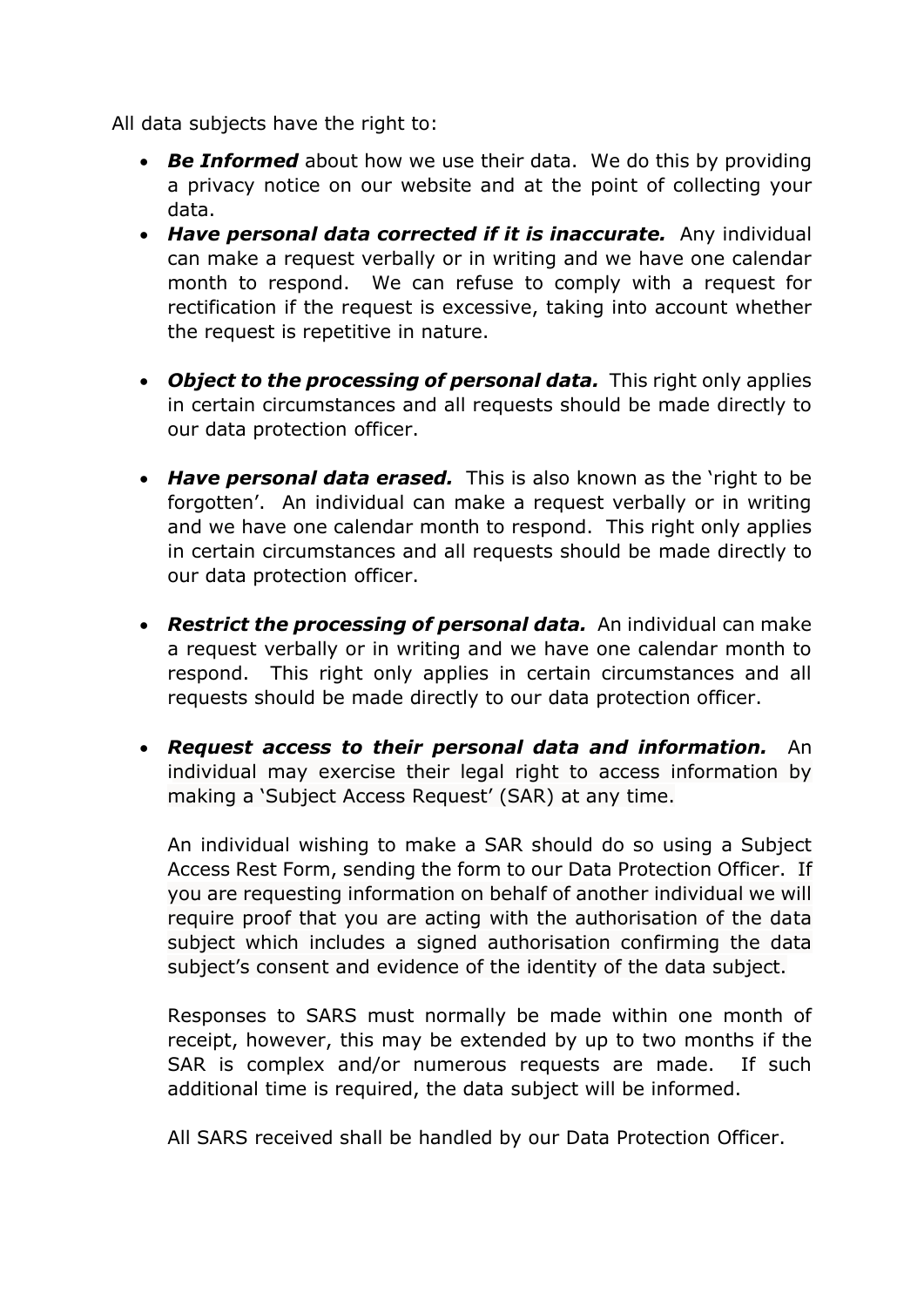All data subjects have the right to:

- *Be Informed* about how we use their data. We do this by providing a privacy notice on our website and at the point of collecting your data.
- *Have personal data corrected if it is inaccurate.* Any individual can make a request verbally or in writing and we have one calendar month to respond. We can refuse to comply with a request for rectification if the request is excessive, taking into account whether the request is repetitive in nature.
- *Object to the processing of personal data.* This right only applies in certain circumstances and all requests should be made directly to our data protection officer.
- *Have personal data erased.* This is also known as the 'right to be forgotten'. An individual can make a request verbally or in writing and we have one calendar month to respond. This right only applies in certain circumstances and all requests should be made directly to our data protection officer.
- *Restrict the processing of personal data.* An individual can make a request verbally or in writing and we have one calendar month to respond. This right only applies in certain circumstances and all requests should be made directly to our data protection officer.
- *Request access to their personal data and information.* An individual may exercise their legal right to access information by making a 'Subject Access Request' (SAR) at any time.

An individual wishing to make a SAR should do so using a Subject Access Rest Form, sending the form to our Data Protection Officer. If you are requesting information on behalf of another individual we will require proof that you are acting with the authorisation of the data subject which includes a signed authorisation confirming the data subject's consent and evidence of the identity of the data subject.

Responses to SARS must normally be made within one month of receipt, however, this may be extended by up to two months if the SAR is complex and/or numerous requests are made. If such additional time is required, the data subject will be informed.

All SARS received shall be handled by our Data Protection Officer.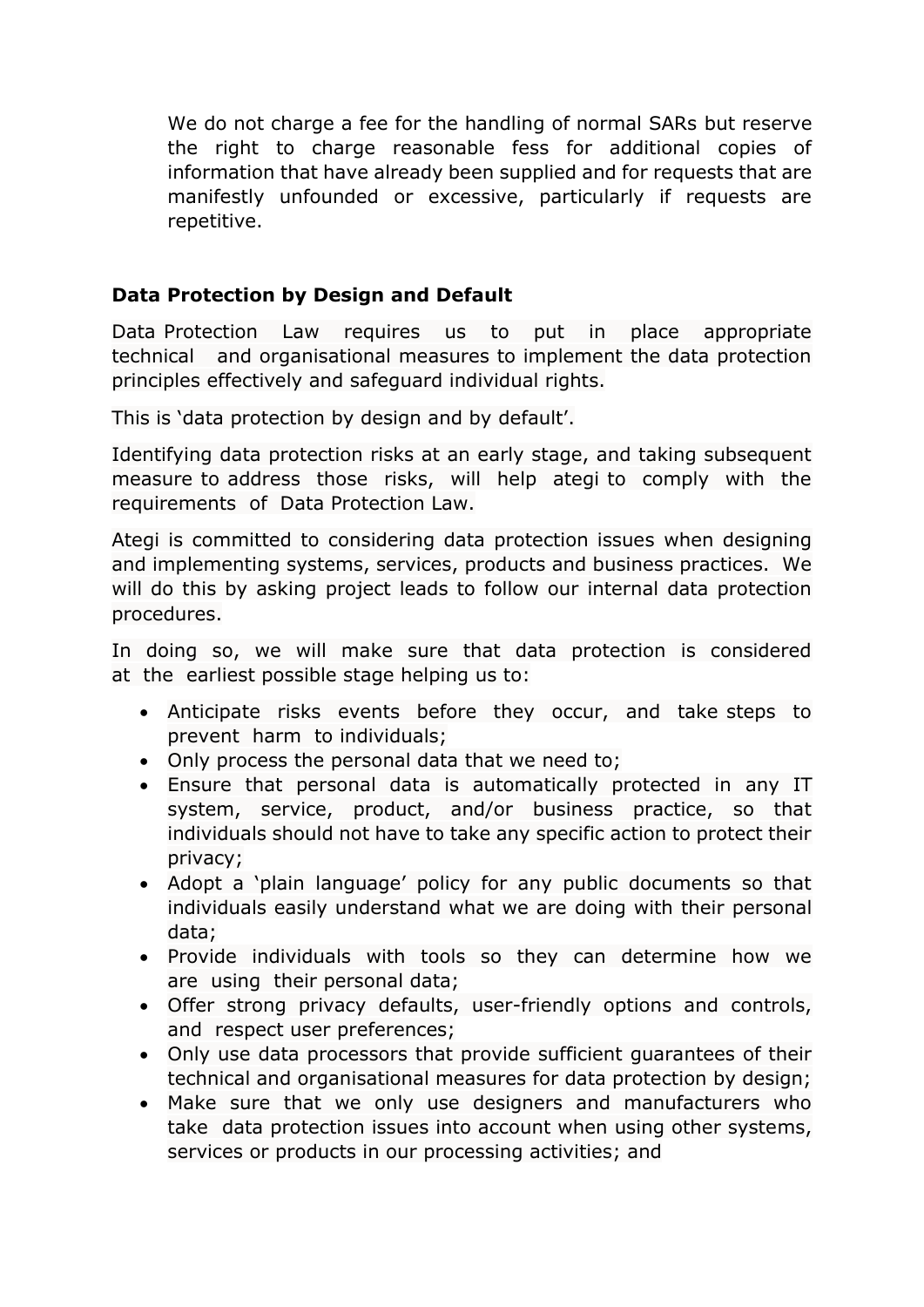We do not charge a fee for the handling of normal SARs but reserve the right to charge reasonable fess for additional copies of information that have already been supplied and for requests that are manifestly unfounded or excessive, particularly if requests are repetitive.

#### **Data Protection by Design and Default**

Data Protection Law requires us to put in place appropriate technical and organisational measures to implement the data protection principles effectively and safeguard individual rights.

This is 'data protection by design and by default'.

Identifying data protection risks at an early stage, and taking subsequent measure to address those risks, will help ategi to comply with the requirements of Data Protection Law.

Ategi is committed to considering data protection issues when designing and implementing systems, services, products and business practices. We will do this by asking project leads to follow our internal data protection procedures.

In doing so, we will make sure that data protection is considered at the earliest possible stage helping us to:

- Anticipate risks events before they occur, and take steps to prevent harm to individuals;
- Only process the personal data that we need to;
- Ensure that personal data is automatically protected in any IT system, service, product, and/or business practice, so that individuals should not have to take any specific action to protect their privacy;
- Adopt a 'plain language' policy for any public documents so that individuals easily understand what we are doing with their personal data;
- Provide individuals with tools so they can determine how we are using their personal data;
- Offer strong privacy defaults, user-friendly options and controls, and respect user preferences;
- Only use data processors that provide sufficient guarantees of their technical and organisational measures for data protection by design;
- Make sure that we only use designers and manufacturers who take data protection issues into account when using other systems, services or products in our processing activities; and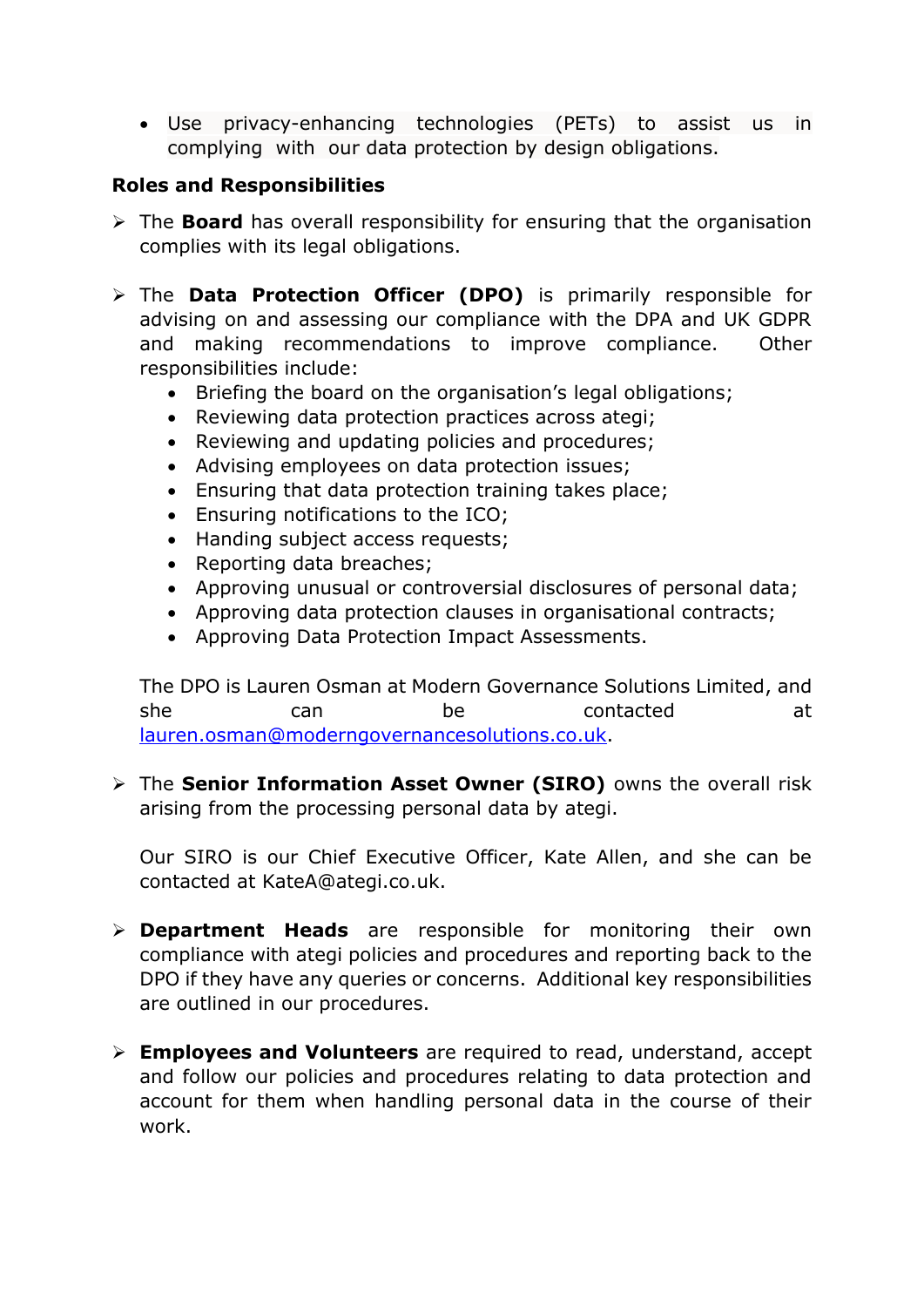Use privacy-enhancing technologies (PETs) to assist us in complying with our data protection by design obligations.

#### **Roles and Responsibilities**

- The **Board** has overall responsibility for ensuring that the organisation complies with its legal obligations.
- The **Data Protection Officer (DPO)** is primarily responsible for advising on and assessing our compliance with the DPA and UK GDPR and making recommendations to improve compliance. Other responsibilities include:
	- Briefing the board on the organisation's legal obligations;
	- Reviewing data protection practices across ategi;
	- Reviewing and updating policies and procedures;
	- Advising employees on data protection issues;
	- Ensuring that data protection training takes place;
	- Ensuring notifications to the ICO;
	- Handing subject access requests;
	- Reporting data breaches:
	- Approving unusual or controversial disclosures of personal data;
	- Approving data protection clauses in organisational contracts;
	- Approving Data Protection Impact Assessments.

The DPO is Lauren Osman at Modern Governance Solutions Limited, and she can be contacted at [lauren.osman@moderngovernancesolutions.co.uk.](mailto:lauren.osman@moderngovernancesolutions.co.uk)

 The **Senior Information Asset Owner (SIRO)** owns the overall risk arising from the processing personal data by ategi.

Our SIRO is our Chief Executive Officer, Kate Allen, and she can be contacted at KateA@ategi.co.uk.

- **Department Heads** are responsible for monitoring their own compliance with ategi policies and procedures and reporting back to the DPO if they have any queries or concerns. Additional key responsibilities are outlined in our procedures.
- **Employees and Volunteers** are required to read, understand, accept and follow our policies and procedures relating to data protection and account for them when handling personal data in the course of their work.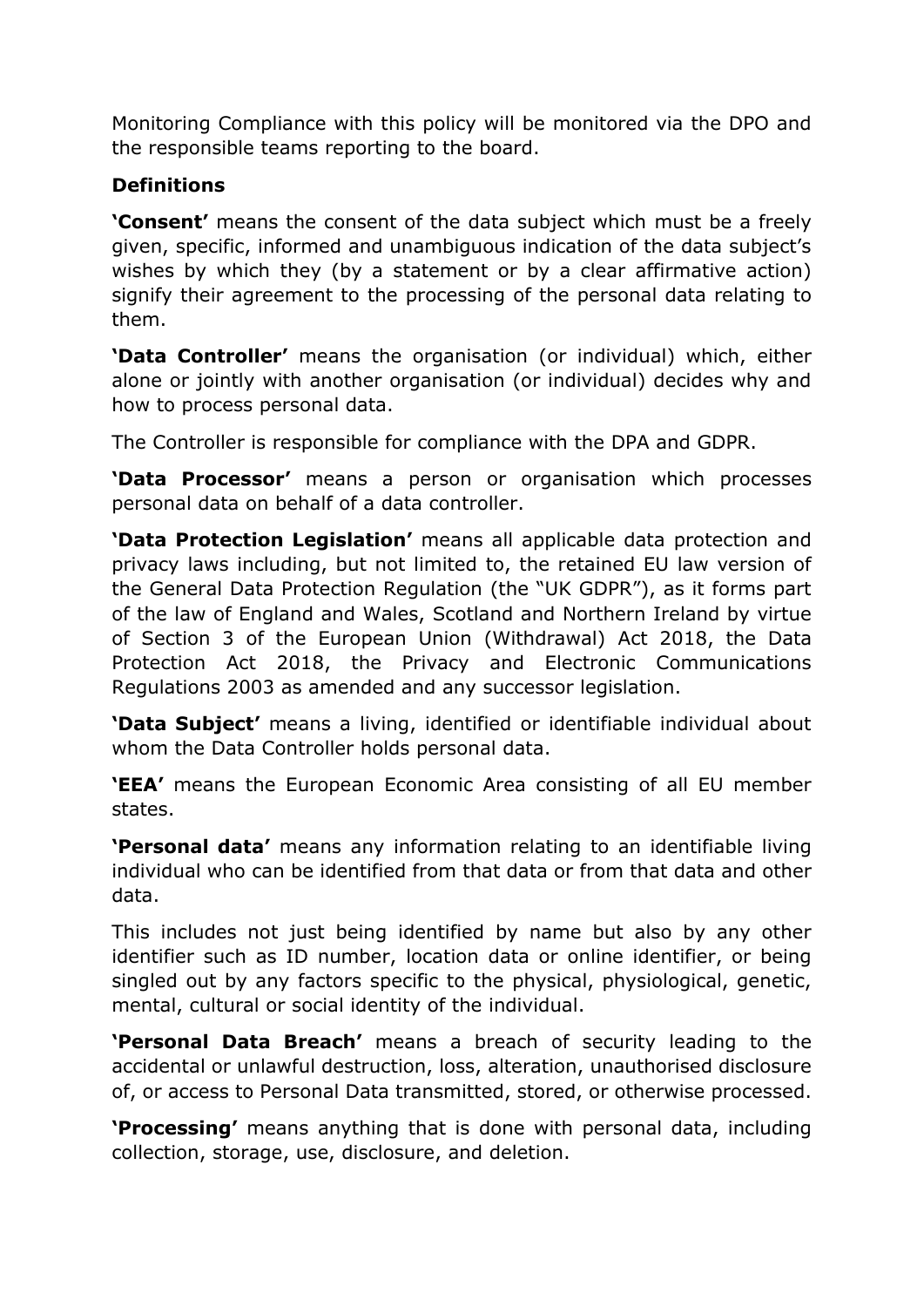Monitoring Compliance with this policy will be monitored via the DPO and the responsible teams reporting to the board.

## **Definitions**

**'Consent'** means the consent of the data subject which must be a freely given, specific, informed and unambiguous indication of the data subject's wishes by which they (by a statement or by a clear affirmative action) signify their agreement to the processing of the personal data relating to them.

**'Data Controller'** means the organisation (or individual) which, either alone or jointly with another organisation (or individual) decides why and how to process personal data.

The Controller is responsible for compliance with the DPA and GDPR.

**'Data Processor'** means a person or organisation which processes personal data on behalf of a data controller.

**'Data Protection Legislation'** means all applicable data protection and privacy laws including, but not limited to, the retained EU law version of the General Data Protection Regulation (the "UK GDPR"), as it forms part of the law of England and Wales, Scotland and Northern Ireland by virtue of Section 3 of the European Union (Withdrawal) Act 2018, the Data Protection Act 2018, the Privacy and Electronic Communications Regulations 2003 as amended and any successor legislation.

**'Data Subject'** means a living, identified or identifiable individual about whom the Data Controller holds personal data.

**'EEA'** means the European Economic Area consisting of all EU member states.

**'Personal data'** means any information relating to an identifiable living individual who can be identified from that data or from that data and other data.

This includes not just being identified by name but also by any other identifier such as ID number, location data or online identifier, or being singled out by any factors specific to the physical, physiological, genetic, mental, cultural or social identity of the individual.

**'Personal Data Breach'** means a breach of security leading to the accidental or unlawful destruction, loss, alteration, unauthorised disclosure of, or access to Personal Data transmitted, stored, or otherwise processed.

**'Processing'** means anything that is done with personal data, including collection, storage, use, disclosure, and deletion.